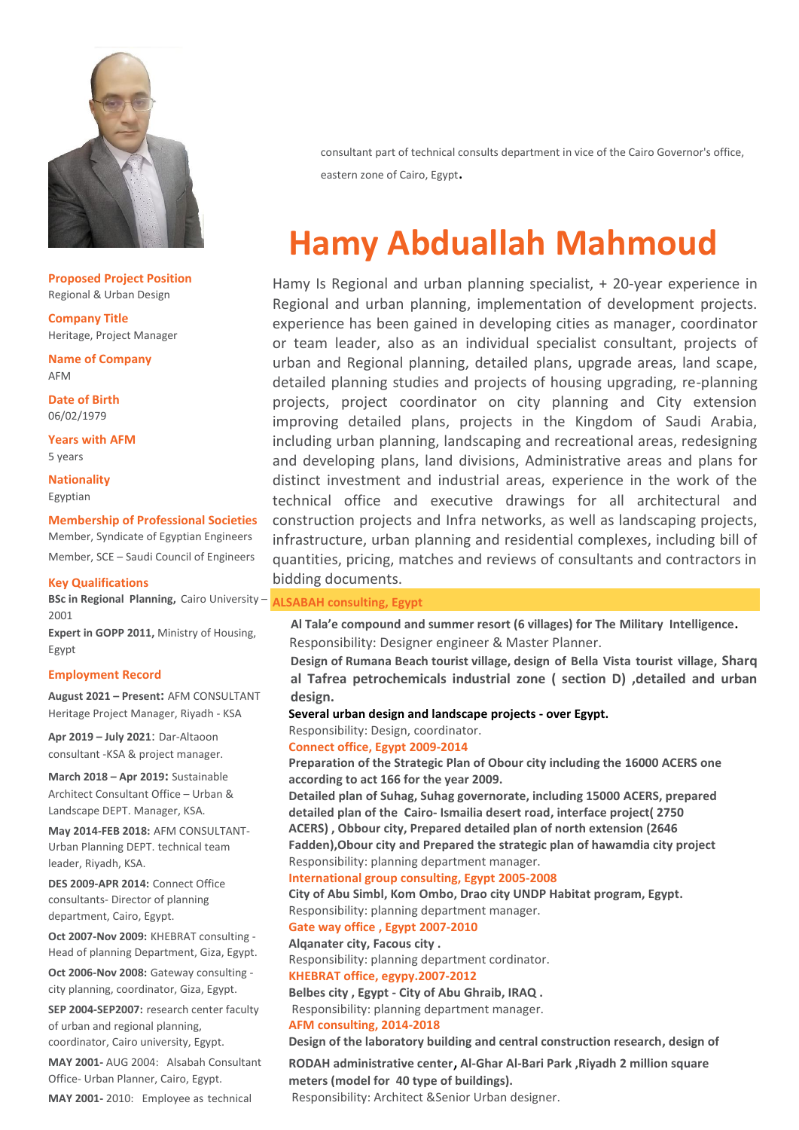

**Proposed Project Position** Regional & Urban Design

**Company Title** Heritage, Project Manager

**Name of Company** AFM

**Date of Birth** 06/02/1979

**Years with AFM** 5 years

**Nationality** Egyptian

# **Membership of Professional Societies**

Member, Syndicate of Egyptian Engineers Member, SCE – Saudi Council of Engineers

#### **Key Qualifications**

**BSc in Regional Planning,** Cairo University – **ALSABAH consulting, Egypt** 2001

**Expert in GOPP 2011,** Ministry of Housing, Egypt

#### **Employment Record**

**August 2021 – Present:** AFM CONSULTANT Heritage Project Manager, Riyadh - KSA

**Apr 2019 – July 2021**: Dar-Altaoon consultant -KSA & project manager.

**March 2018 – Apr 2019:** Sustainable Architect Consultant Office – Urban & Landscape DEPT. Manager, KSA.

**May 2014-FEB 2018:** AFM CONSULTANT-Urban Planning DEPT. technical team leader, Riyadh, KSA.

**DES 2009-APR 2014:** Connect Office consultants- Director of planning department, Cairo, Egypt.

**Oct 2007-Nov 2009:** KHEBRAT consulting - Head of planning Department, Giza, Egypt.

**Oct 2006-Nov 2008:** Gateway consulting city planning, coordinator, Giza, Egypt.

**SEP 2004-SEP2007:** research center faculty of urban and regional planning,

coordinator, Cairo university, Egypt.

**MAY 2001-** AUG 2004: Alsabah Consultant Office- Urban Planner, Cairo, Egypt.

**MAY 2001-** 2010: Employee as technical

consultant part of technical consults department in vice of the Cairo Governor's office, eastern zone of Cairo, Egypt.

# **Hamy Abduallah Mahmoud**

Hamy Is Regional and urban planning specialist, + 20-year experience in Regional and urban planning, implementation of development projects. experience has been gained in developing cities as manager, coordinator or team leader, also as an individual specialist consultant, projects of urban and Regional planning, detailed plans, upgrade areas, land scape, detailed planning studies and projects of housing upgrading, re-planning projects, project coordinator on city planning and City extension improving detailed plans, projects in the Kingdom of Saudi Arabia, including urban planning, landscaping and recreational areas, redesigning and developing plans, land divisions, Administrative areas and plans for distinct investment and industrial areas, experience in the work of the technical office and executive drawings for all architectural and construction projects and Infra networks, as well as landscaping projects, infrastructure, urban planning and residential complexes, including bill of quantities, pricing, matches and reviews of consultants and contractors in bidding documents.

 **Al Tala'e compound and summer resort (6 villages) for The Military Intelligence**. Responsibility: Designer engineer & Master Planner.

**Design of Rumana Beach tourist village, design of Bella Vista tourist village, Sharq al Tafrea petrochemicals industrial zone ( section D) ,detailed and urban design.**

### **Several urban design and landscape projects - over Egypt.**

Responsibility: Design, coordinator.

# **Connect office, Egypt 2009-2014**

**Preparation of the Strategic Plan of Obour city including the 16000 ACERS one according to act 166 for the year 2009.**

**Detailed plan of Suhag, Suhag governorate, including 15000 ACERS, prepared detailed plan of the Cairo- Ismailia desert road, interface project( 2750 ACERS) , Obbour city, Prepared detailed plan of north extension (2646 Fadden),Obour city and Prepared the strategic plan of hawamdia city project** Responsibility: planning department manager.

#### **International group consulting, Egypt 2005-2008**

**City of Abu Simbl, Kom Ombo, Drao city UNDP Habitat program, Egypt.** Responsibility: planning department manager.

#### **Gate way office , Egypt 2007-2010**

**Alqanater city, Facous city .**

Responsibility: planning department cordinator.

# **KHEBRAT office, egypy.2007-2012**

**Belbes city , Egypt - City of Abu Ghraib, IRAQ .** Responsibility: planning department manager.

# **AFM consulting, 2014-2018**

#### **Design of the laboratory building and central construction research, design of**

**RODAH administrative center**, **Al-Ghar Al-Bari Park ,Riyadh 2 million square meters (model for 40 type of buildings).**

Responsibility: Architect &Senior Urban designer.